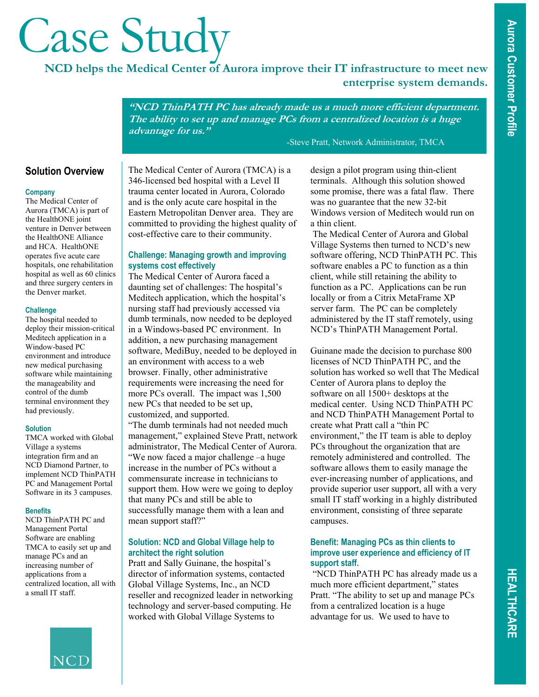# **Case Study**<br>NCD helps the Medical Center of Aurora improve their IT infrastructure to meet new

**enterprise system demands.**

**"NCD ThinPATH PC has already made us a much more efficient department. The ability to set up and manage PCs from a centralized location is a huge advantage for us."** 

-Steve Pratt, Network Administrator, TMCA

# **Solution Overview**

## **Company**

The Medical Center of Aurora (TMCA) is part of the HealthONE joint venture in Denver between the HealthONE Alliance and HCA. HealthONE operates five acute care hospitals, one rehabilitation hospital as well as 60 clinics and three surgery centers in the Denver market.

## **Challenge**

The hospital needed to deploy their mission-critical Meditech application in a Window-based PC environment and introduce new medical purchasing software while maintaining the manageability and control of the dumb terminal environment they had previously.

# **Solution**

TMCA worked with Global Village a systems integration firm and an NCD Diamond Partner, to implement NCD ThinPATH PC and Management Portal Software in its 3 campuses.

# **Benefits**

NCD ThinPATH PC and Management Portal Software are enabling TMCA to easily set up and manage PCs and an increasing number of applications from a centralized location, all with a small IT staff.



The Medical Center of Aurora (TMCA) is a 346-licensed bed hospital with a Level II trauma center located in Aurora, Colorado and is the only acute care hospital in the Eastern Metropolitan Denver area. They are committed to providing the highest quality of cost-effective care to their community.

# **Challenge: Managing growth and improving systems cost effectively**

The Medical Center of Aurora faced a daunting set of challenges: The hospital's Meditech application, which the hospital's nursing staff had previously accessed via dumb terminals, now needed to be deployed in a Windows-based PC environment. In addition, a new purchasing management software, MediBuy, needed to be deployed in an environment with access to a web browser. Finally, other administrative requirements were increasing the need for more PCs overall. The impact was 1,500 new PCs that needed to be set up, customized, and supported.

"The dumb terminals had not needed much management," explained Steve Pratt, network administrator, The Medical Center of Aurora. "We now faced a major challenge –a huge increase in the number of PCs without a commensurate increase in technicians to support them. How were we going to deploy that many PCs and still be able to successfully manage them with a lean and mean support staff?"

# **Solution: NCD and Global Village help to architect the right solution**

Pratt and Sally Guinane, the hospital's director of information systems, contacted Global Village Systems, Inc., an NCD reseller and recognized leader in networking technology and server-based computing. He worked with Global Village Systems to

design a pilot program using thin-client terminals. Although this solution showed some promise, there was a fatal flaw. There was no guarantee that the new 32-bit Windows version of Meditech would run on a thin client.

 The Medical Center of Aurora and Global Village Systems then turned to NCD's new software offering, NCD ThinPATH PC. This software enables a PC to function as a thin client, while still retaining the ability to function as a PC. Applications can be run locally or from a Citrix MetaFrame XP server farm. The PC can be completely administered by the IT staff remotely, using NCD's ThinPATH Management Portal.

Guinane made the decision to purchase 800 licenses of NCD ThinPATH PC, and the solution has worked so well that The Medical Center of Aurora plans to deploy the software on all 1500+ desktops at the medical center. Using NCD ThinPATH PC and NCD ThinPATH Management Portal to create what Pratt call a "thin PC environment," the IT team is able to deploy PCs throughout the organization that are remotely administered and controlled. The software allows them to easily manage the ever-increasing number of applications, and provide superior user support, all with a very small IT staff working in a highly distributed environment, consisting of three separate campuses.

# **Benefit: Managing PCs as thin clients to improve user experience and efficiency of IT support staff.**

 "NCD ThinPATH PC has already made us a much more efficient department," states Pratt. "The ability to set up and manage PCs from a centralized location is a huge advantage for us. We used to have to